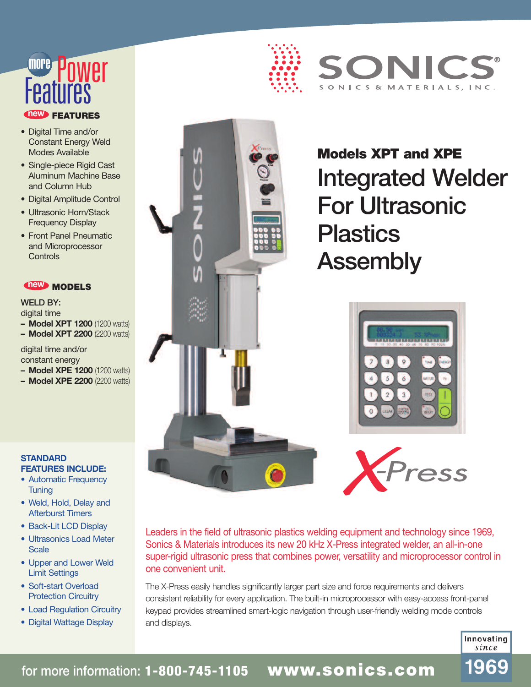# **FEATURES new** Features more Power

- Digital Time and/or Constant Energy Weld Modes Available
- Single-piece Rigid Cast Aluminum Machine Base and Column Hub
- Digital Amplitude Control
- Ultrasonic Horn/Stack Frequency Display
- Front Panel Pneumatic and Microprocessor **Controls**

### **new MODELS**

WELD BY: digital time

**– Model XPT 1200** (1200 watts) **– Model XPT 2200** (2200 watts)

digital time and/or

constant energy

- **– Model XPE 1200** (1200 watts)
- **– Model XPE 2200** (2200 watts)

#### **STANDARD FEATURES INCLUDE:**

- Automatic Frequency **Tuning**
- Weld, Hold, Delay and Afterburst Timers
- Back-Lit LCD Display
- Ultrasonics Load Meter **Scale**
- Upper and Lower Weld Limit Settings
- Soft-start Overload Protection Circuitry
- Load Regulation Circuitry
- Digital Wattage Display





**Models XPT and XPE** Integrated Welder For Ultrasonic **Plastics** Assembly

SONICS & MATERIALS, INC.





Leaders in the field of ultrasonic plastics welding equipment and technology since 1969, Sonics & Materials introduces its new 20 kHz X-Press integrated welder, an all-in-one super-rigid ultrasonic press that combines power, versatility and microprocessor control in one convenient unit.

The X-Press easily handles significantly larger part size and force requirements and delivers consistent reliability for every application. The built-in microprocessor with easy-access front-panel keypad provides streamlined smart-logic navigation through user-friendly welding mode controls and displays.

> Innovating since

1969

for more information: **1-800-745-1105 www.sonics.com**